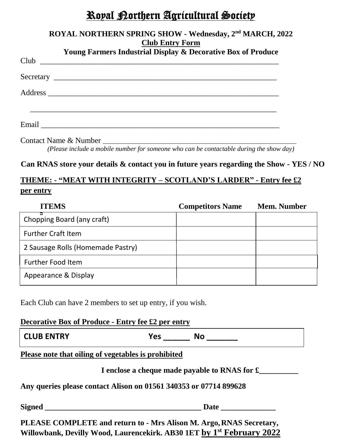# Royal Northern Agricultural Society

| ROYAL NORTHERN SPRING SHOW - Wednesday, 2 <sup>nd</sup> MARCH, 2022<br><b>Club Entry Form</b>                  |
|----------------------------------------------------------------------------------------------------------------|
| <b>Young Farmers Industrial Display &amp; Decorative Box of Produce</b>                                        |
| Club                                                                                                           |
|                                                                                                                |
|                                                                                                                |
| Email 2008 - 2008 - 2008 - 2019 - 2019 - 2019 - 2019 - 2019 - 2019 - 2019 - 2019 - 2019 - 2019 - 2019 - 2019 - |
|                                                                                                                |

*(Please include a mobile number for someone who can be contactable during the show day)*

# **Can RNAS store your details & contact you in future years regarding the Show - YES / NO**

# **THEME: - "MEAT WITH INTEGRITY – SCOTLAND'S LARDER" - Entry fee £2 per entry**

| <b>ITEMS</b>                      | <b>Competitors Name</b> | <b>Mem. Number</b> |
|-----------------------------------|-------------------------|--------------------|
| Chopping Board (any craft)        |                         |                    |
| <b>Further Craft Item</b>         |                         |                    |
| 2 Sausage Rolls (Homemade Pastry) |                         |                    |
| <b>Further Food Item</b>          |                         |                    |
| Appearance & Display              |                         |                    |

Each Club can have 2 members to set up entry, if you wish.

# **Decorative Box of Produce - Entry fee £2 per entry**

| <b>CLUB ENTRY</b><br>. . | <b>NC</b> |
|--------------------------|-----------|
|--------------------------|-----------|

# **Please note that oiling of vegetables is prohibited**

 **I enclose a cheque made payable to RNAS for £\_\_\_\_\_\_\_\_\_\_**

**Any queries please contact Alison on 01561 340353 or 07714 899628**

**Signed \_\_\_\_\_\_\_\_\_\_\_\_\_\_\_\_\_\_\_\_\_\_\_\_\_\_\_\_\_\_\_\_\_\_\_\_\_\_\_\_ Date \_\_\_\_\_\_\_\_\_\_\_\_\_\_**

**PLEASE COMPLETE and return to - Mrs Alison M. Argo,RNAS Secretary, Willowbank, Devilly Wood, Laurencekirk. AB30 1ET by 1 st February 2022**